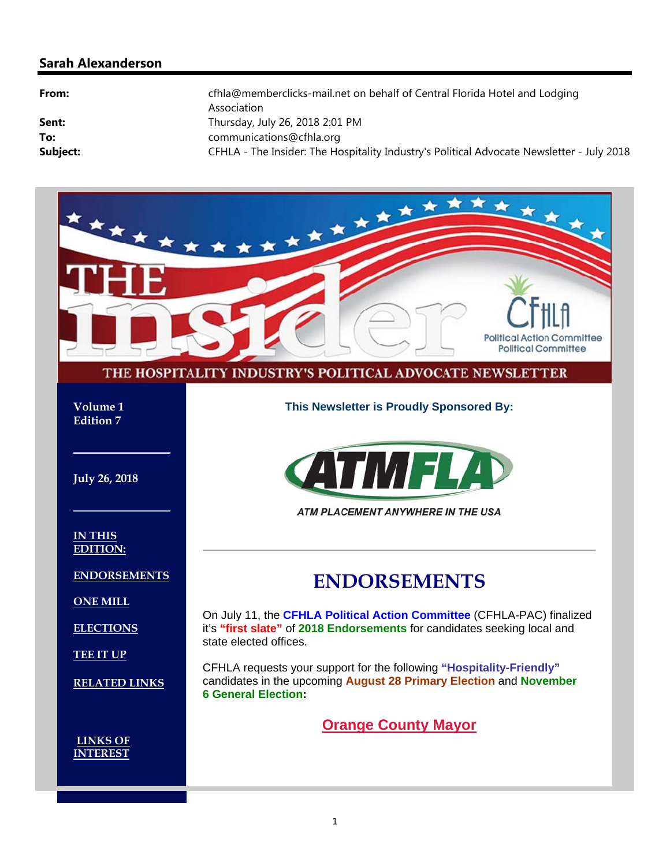#### **Sarah Alexanderson**

| From:    | cfhla@memberclicks-mail.net on behalf of Central Florida Hotel and Lodging<br>Association |
|----------|-------------------------------------------------------------------------------------------|
| Sent:    | Thursday, July 26, 2018 2:01 PM                                                           |
| To:      | communications@cfhla.org                                                                  |
| Subject: | CFHLA - The Insider: The Hospitality Industry's Political Advocate Newsletter - July 2018 |

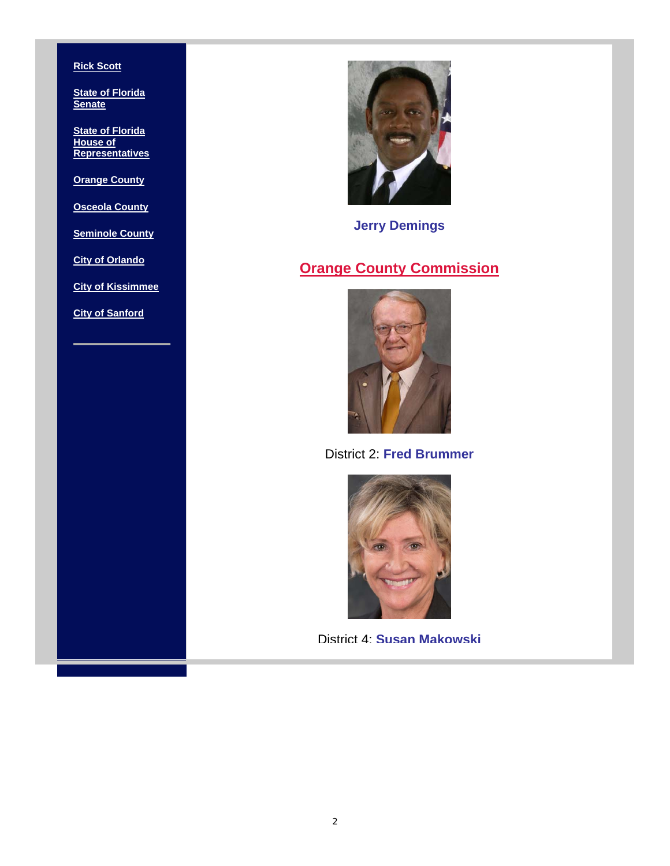#### **Rick Scott**

**State of Florida Senate**

**State of Florida House of Representatives**

**Orange County**

**Osceola County**

**Seminole County**

**City of Orlando**

**City of Kissimmee**

**City of Sanford**



**Jerry Demings**

#### **Orange County Commission**



District 2: **Fred Brummer**



District 4: **Susan Makowski**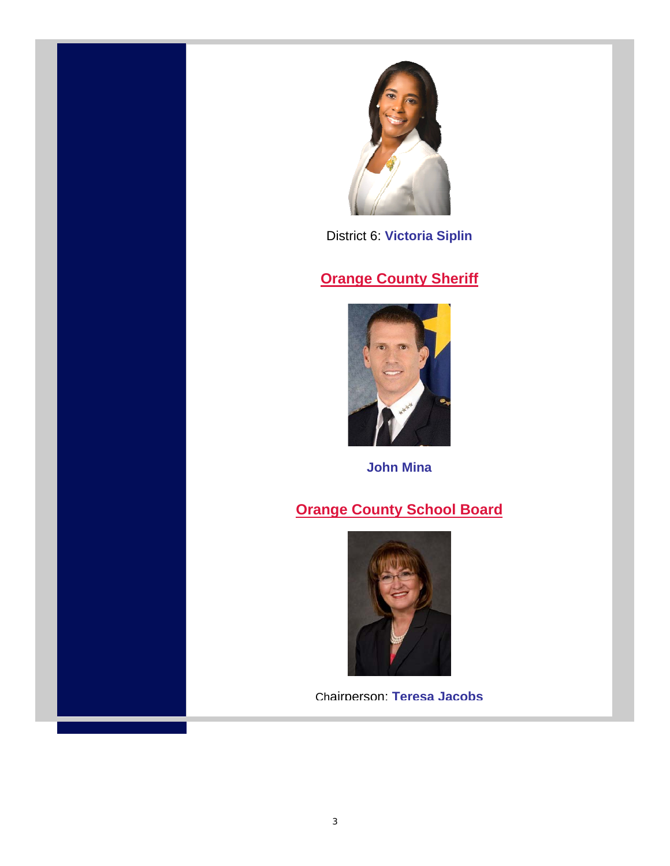

District 6: **Victoria Siplin**

#### **Orange County Sheriff**



**John Mina**

### **Orange County School Board**



Chairperson: **Teresa Jacobs**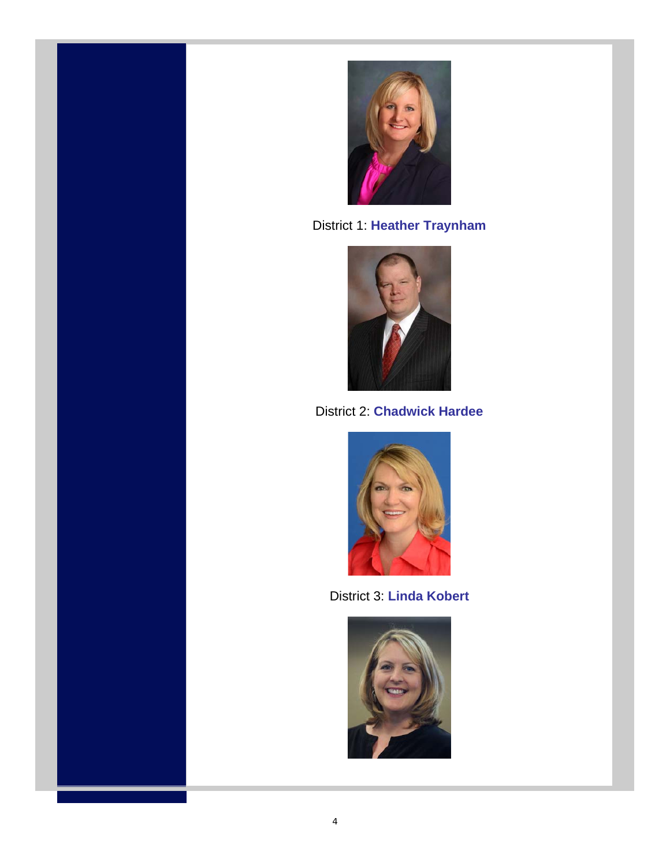



District 1: **Heather Traynham**



District 2: **Chadwick Hardee**



District 3: **Linda Kobert**

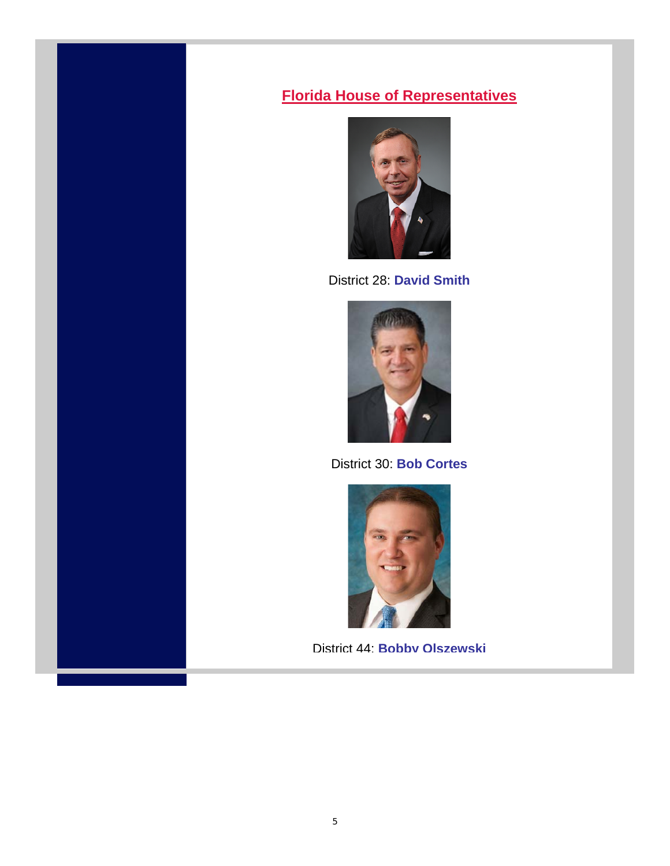#### **Florida House of Representatives**



District 28: **David Smith**



District 30: **Bob Cortes** 



District 44: **Bobby Olszewski**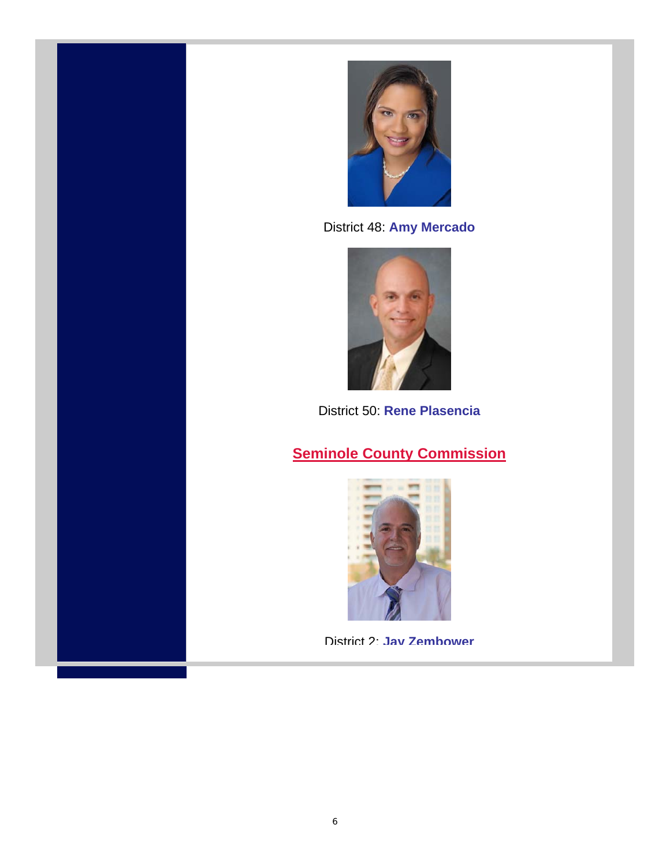



District 48: **Amy Mercado**



District 50: **Rene Plasencia**

### **Seminole County Commission**



District 2: **Jay Zembower**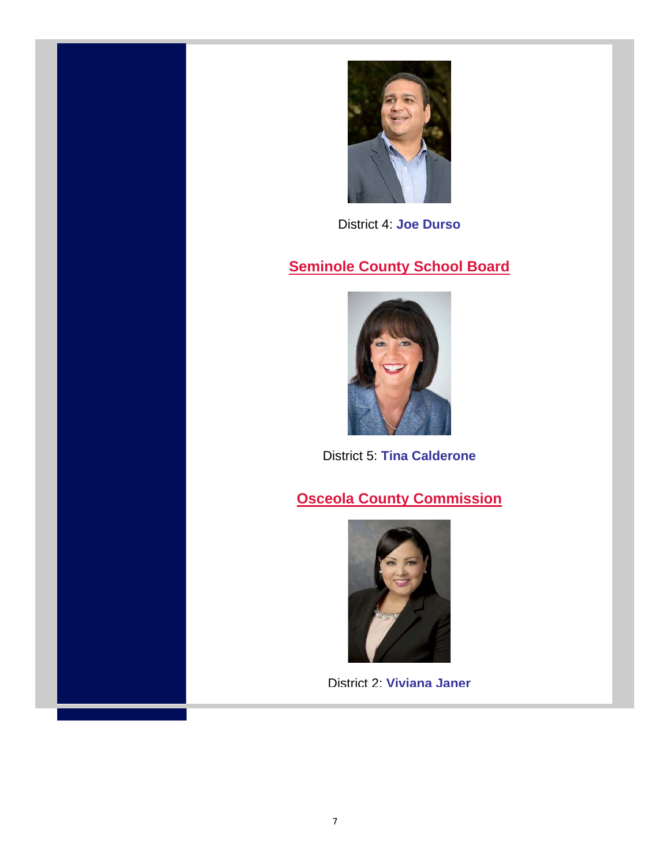

District 4: **Joe Durso**

#### **Seminole County School Board**



District 5: **Tina Calderone**

#### **Osceola County Commission**



District 2: **Viviana Janer**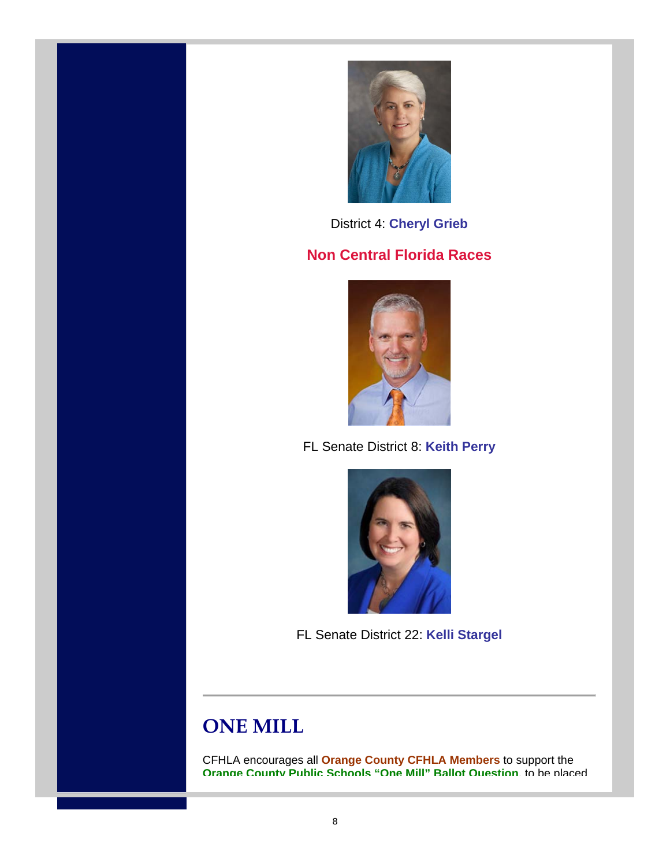



District 4: **Cheryl Grieb** 

#### **Non Central Florida Races**



FL Senate District 8: **Keith Perry** 



FL Senate District 22: **Kelli Stargel**

# **ONE MILL**

CFHLA encourages all **Orange County CFHLA Members** to support the **Orange County Public Schools "One Mill" Ballot Question**, to be placed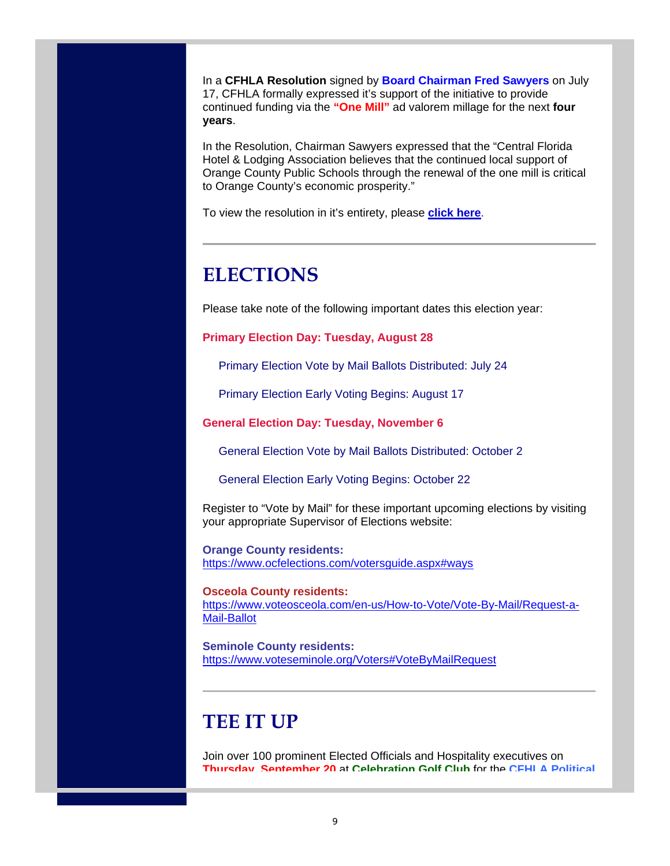In a **CFHLA Resolution** signed by **Board Chairman Fred Sawyers** on July 17, CFHLA formally expressed it's support of the initiative to provide continued funding via the **"One Mill"** ad valorem millage for the next **four years**.

In the Resolution, Chairman Sawyers expressed that the "Central Florida Hotel & Lodging Association believes that the continued local support of Orange County Public Schools through the renewal of the one mill is critical to Orange County's economic prosperity."

To view the resolution in it's entirety, please **click here**.

## **ELECTIONS**

Please take note of the following important dates this election year:

**Primary Election Day: Tuesday, August 28**

Primary Election Vote by Mail Ballots Distributed: July 24

Primary Election Early Voting Begins: August 17

**General Election Day: Tuesday, November 6**

General Election Vote by Mail Ballots Distributed: October 2

General Election Early Voting Begins: October 22

Register to "Vote by Mail" for these important upcoming elections by visiting your appropriate Supervisor of Elections website:

**Orange County residents:** https://www.ocfelections.com/votersguide.aspx#ways

**Osceola County residents:** https://www.voteosceola.com/en-us/How-to-Vote/Vote-By-Mail/Request-a-Mail-Ballot

**Seminole County residents:** https://www.voteseminole.org/Voters#VoteByMailRequest

## **TEE IT UP**

Join over 100 prominent Elected Officials and Hospitality executives on **Thursday, September 20** at **Celebration Golf Club** for the **CFHLA Political**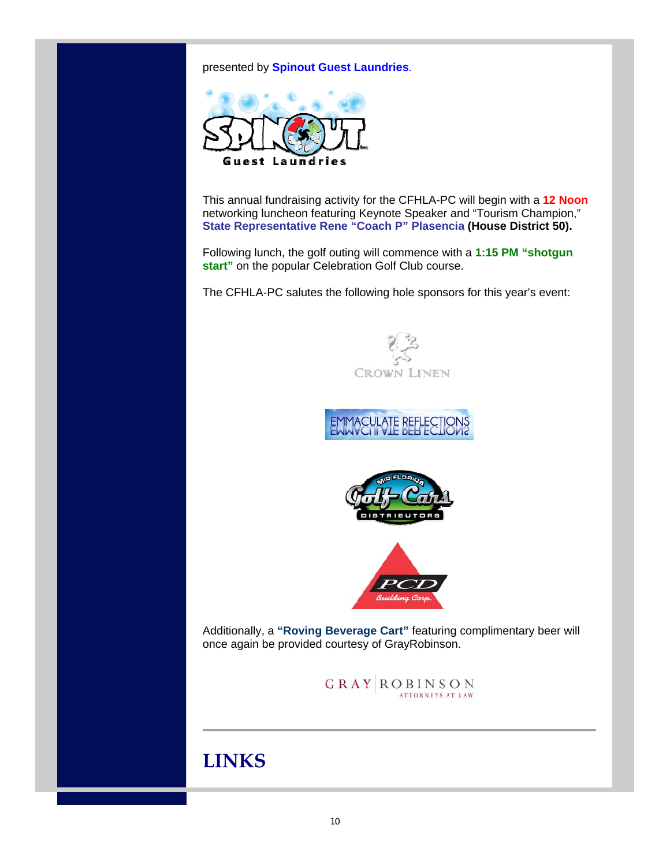presented by **Spinout Guest Laundries**.



This annual fundraising activity for the CFHLA-PC will begin with a **12 Noon** networking luncheon featuring Keynote Speaker and "Tourism Champion," **State Representative Rene "Coach P" Plasencia (House District 50).**

Following lunch, the golf outing will commence with a **1:15 PM "shotgun**  start" on the popular Celebration Golf Club course.

The CFHLA-PC salutes the following hole sponsors for this year's event:









Additionally, a **"Roving Beverage Cart"** featuring complimentary beer will once again be provided courtesy of GrayRobinson.

 $\begin{array}{c|c|c|c|c|c} \hline \textbf{G} & \textbf{R} & \textbf{A} & \textbf{Y} & \textbf{N} & \textbf{S} & \textbf{D} & \textbf{N} \\ \textbf{A} & \textbf{A} & \textbf{A} & \textbf{A} & \textbf{A} & \textbf{A} & \textbf{A} & \textbf{A} & \textbf{A} & \textbf{A} & \textbf{A} \\ \hline \textbf{A} & \textbf{A} & \textbf{A} & \textbf{A} & \textbf{A} & \textbf{A} & \textbf{A} & \textbf{A} & \textbf{A} & \$ 

## **LINKS**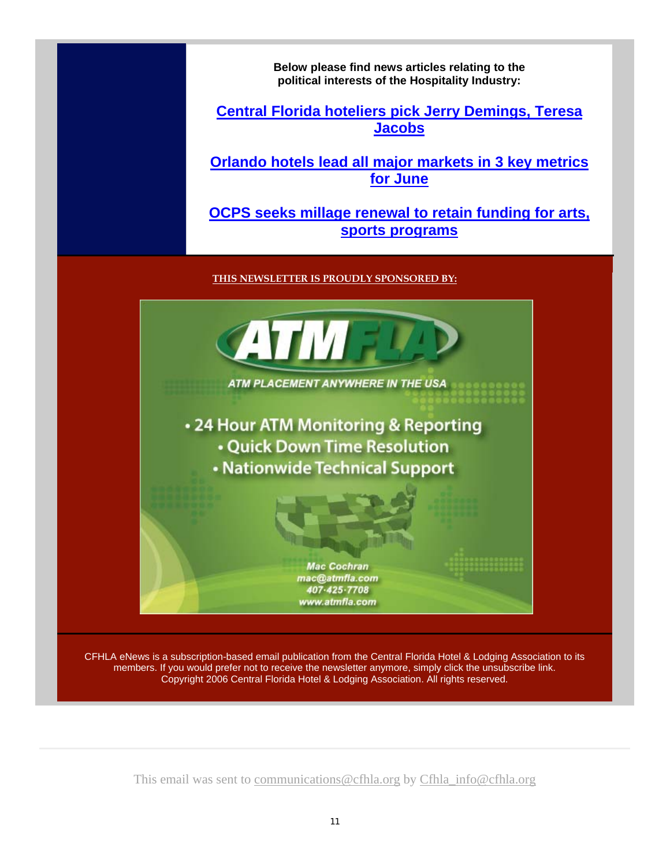**Below please find news articles relating to the political interests of the Hospitality Industry:**

**Central Florida hoteliers pick Jerry Demings, Teresa Jacobs** 

**Orlando hotels lead all major markets in 3 key metrics for June** 

**OCPS seeks millage renewal to retain funding for arts, sports programs**

**THIS NEWSLETTER IS PROUDLY SPONSORED BY:**



members. If you would prefer not to receive the newsletter anymore, simply click the unsubscribe link. Copyright 2006 Central Florida Hotel & Lodging Association. All rights reserved.

This email was sent to communications@cfhla.org by Cfhla\_info@cfhla.org